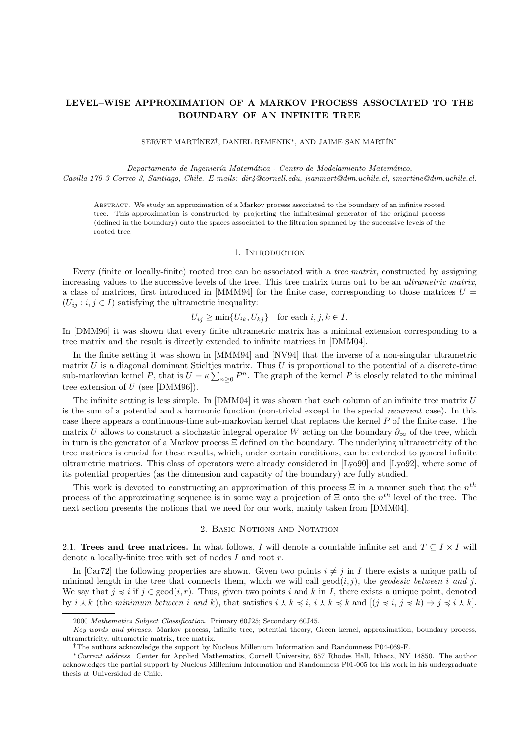## LEVEL–WISE APPROXIMATION OF A MARKOV PROCESS ASSOCIATED TO THE BOUNDARY OF AN INFINITE TREE

SERVET MARTÍNEZ<sup>†</sup>, DANIEL REMENIK\*, AND JAIME SAN MARTÍN<sup>†</sup>

Departamento de Ingeniería Matemática - Centro de Modelamiento Matemático, Casilla 170-3 Correo 3, Santiago, Chile. E-mails: dir4@cornell.edu, jsanmart@dim.uchile.cl, smartine@dim.uchile.cl.

Abstract. We study an approximation of a Markov process associated to the boundary of an infinite rooted tree. This approximation is constructed by projecting the infinitesimal generator of the original process (defined in the boundary) onto the spaces associated to the filtration spanned by the successive levels of the rooted tree.

#### 1. INTRODUCTION

Every (finite or locally-finite) rooted tree can be associated with a *tree matrix*, constructed by assigning increasing values to the successive levels of the tree. This tree matrix turns out to be an *ultrametric matrix*, a class of matrices, first introduced in [MMM94] for the finite case, corresponding to those matrices  $U =$  $(U_{ij} : i, j \in I)$  satisfying the ultrametric inequality:

 $U_{ij} \ge \min\{U_{ik}, U_{kj}\}\$  for each  $i, j, k \in I$ .

In [DMM96] it was shown that every finite ultrametric matrix has a minimal extension corresponding to a tree matrix and the result is directly extended to infinite matrices in [DMM04].

In the finite setting it was shown in [MMM94] and [NV94] that the inverse of a non-singular ultrametric matrix  $U$  is a diagonal dominant Stieltjes matrix. Thus  $U$  is proportional to the potential of a discrete-time sub-markovian kernel P, that is  $U = \kappa \sum_{n>0} P^n$ . The graph of the kernel P is closely related to the minimal tree extension of  $U$  (see [DMM96]).

The infinite setting is less simple. In  $[DMM04]$  it was shown that each column of an infinite tree matrix U is the sum of a potential and a harmonic function (non-trivial except in the special recurrent case). In this case there appears a continuous-time sub-markovian kernel that replaces the kernel P of the finite case. The matrix U allows to construct a stochastic integral operator W acting on the boundary  $\partial_{\infty}$  of the tree, which in turn is the generator of a Markov process Ξ defined on the boundary. The underlying ultrametricity of the tree matrices is crucial for these results, which, under certain conditions, can be extended to general infinite ultrametric matrices. This class of operators were already considered in [Lyo90] and [Lyo92], where some of its potential properties (as the dimension and capacity of the boundary) are fully studied.

This work is devoted to constructing an approximation of this process  $\Xi$  in a manner such that the  $n^{th}$ process of the approximating sequence is in some way a projection of  $\Xi$  onto the  $n^{th}$  level of the tree. The next section presents the notions that we need for our work, mainly taken from [DMM04].

#### 2. BASIC NOTIONS AND NOTATION

2.1. Trees and tree matrices. In what follows, I will denote a countable infinite set and  $T \subseteq I \times I$  will denote a locally-finite tree with set of nodes I and root r.

In [Car72] the following properties are shown. Given two points  $i \neq j$  in I there exists a unique path of minimal length in the tree that connects them, which we will call  $\gcd(i, j)$ , the *geodesic between i and j*. We say that  $j \preccurlyeq i$  if  $j \in \text{geod}(i, r)$ . Thus, given two points i and k in I, there exists a unique point, denoted by  $i \wedge k$  (the minimum between i and k), that satisfies  $i \wedge k \preccurlyeq i$ ,  $i \wedge k \preccurlyeq k$  and  $[(i \preccurlyeq i, j \preccurlyeq k) \Rightarrow j \preccurlyeq i \wedge k].$ 

<sup>2000</sup> Mathematics Subject Classification. Primary 60J25; Secondary 60J45.

Key words and phrases. Markov process, infinite tree, potential theory, Green kernel, approximation, boundary process, ultrametricity, ultrametric matrix, tree matrix.

<sup>†</sup>The authors acknowledge the support by Nucleus Millenium Information and Randomness P04-069-F.

<sup>∗</sup>Current address: Center for Applied Mathematics, Cornell University, 657 Rhodes Hall, Ithaca, NY 14850. The author acknowledges the partial support by Nucleus Millenium Information and Randomness P01-005 for his work in his undergraduate thesis at Universidad de Chile.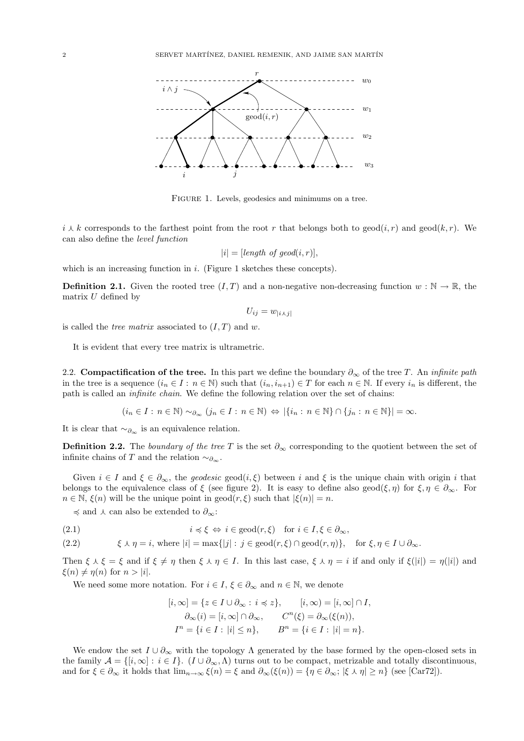

FIGURE 1. Levels, geodesics and minimums on a tree.

 $i \downarrow k$  corresponds to the farthest point from the root r that belongs both to geod $(i, r)$  and geod $(k, r)$ . We can also define the level function

$$
|i| = [length of geod(i, r)],
$$

which is an increasing function in  $i$ . (Figure 1 sketches these concepts).

**Definition 2.1.** Given the rooted tree  $(I, T)$  and a non-negative non-decreasing function  $w : \mathbb{N} \to \mathbb{R}$ , the matrix  $U$  defined by

$$
U_{ij} = w_{|i \wedge j|}
$$

is called the *tree matrix* associated to  $(I, T)$  and w.

It is evident that every tree matrix is ultrametric.

2.2. Compactification of the tree. In this part we define the boundary  $\partial_{\infty}$  of the tree T. An infinite path in the tree is a sequence  $(i_n \in I : n \in \mathbb{N})$  such that  $(i_n, i_{n+1}) \in T$  for each  $n \in \mathbb{N}$ . If every  $i_n$  is different, the path is called an infinite chain. We define the following relation over the set of chains:

 $(i_n \in I : n \in \mathbb{N}) \sim_{\partial_{n+1}} (i_n \in I : n \in \mathbb{N}) \Leftrightarrow |\{i_n : n \in \mathbb{N}\} \cap \{i_n : n \in \mathbb{N}\}| = \infty.$ 

It is clear that  $~\sim_{\partial_{\infty}}$  is an equivalence relation.

**Definition 2.2.** The boundary of the tree T is the set  $\partial_{\infty}$  corresponding to the quotient between the set of infinite chains of T and the relation  $\sim_{\partial_{\infty}}$ .

Given  $i \in I$  and  $\xi \in \partial_{\infty}$ , the *geodesic* geod $(i, \xi)$  between i and  $\xi$  is the unique chain with origin i that belongs to the equivalence class of  $\xi$  (see figure 2). It is easy to define also geod( $\xi, \eta$ ) for  $\xi, \eta \in \partial_{\infty}$ . For  $n \in \mathbb{N}, \xi(n)$  will be the unique point in geod $(r, \xi)$  such that  $|\xi(n)| = n$ .

 $\preccurlyeq$  and  $\curlywedge$  can also be extended to  $\partial_{\infty}$ :

(2.1)  $i \preccurlyeq \xi \Leftrightarrow i \in \text{geod}(r, \xi) \text{ for } i \in I, \xi \in \partial_{\infty},$ 

(2.2)  $\xi \wedge \eta = i$ , where  $|i| = \max\{|i| : j \in \text{geod}(r, \xi) \cap \text{geod}(r, \eta)\}\$ , for  $\xi, \eta \in I \cup \partial_{\infty}$ .

Then  $\xi \wedge \xi = \xi$  and if  $\xi \neq \eta$  then  $\xi \wedge \eta \in I$ . In this last case,  $\xi \wedge \eta = i$  if and only if  $\xi(|i|) = \eta(|i|)$  and  $\xi(n) \neq \eta(n)$  for  $n > |i|$ .

We need some more notation. For  $i \in I$ ,  $\xi \in \partial_{\infty}$  and  $n \in \mathbb{N}$ , we denote

$$
[i, \infty] = \{ z \in I \cup \partial_{\infty} : i \preccurlyeq z \}, \qquad [i, \infty) = [i, \infty] \cap I,
$$
  

$$
\partial_{\infty}(i) = [i, \infty] \cap \partial_{\infty}, \qquad C^n(\xi) = \partial_{\infty}(\xi(n)),
$$
  

$$
I^n = \{ i \in I : |i| \le n \}, \qquad B^n = \{ i \in I : |i| = n \}.
$$

We endow the set  $I \cup \partial_{\infty}$  with the topology  $\Lambda$  generated by the base formed by the open-closed sets in the family  $\mathcal{A} = \{ [i, \infty] : i \in I \}$ .  $(I \cup \partial_{\infty}, \Lambda)$  turns out to be compact, metrizable and totally discontinuous, and for  $\xi \in \partial_{\infty}$  it holds that  $\lim_{n\to\infty} \xi(n) = \xi$  and  $\partial_{\infty}(\xi(n)) = \{\eta \in \partial_{\infty}; |\xi \wedge \eta| \geq n\}$  (see [Car72]).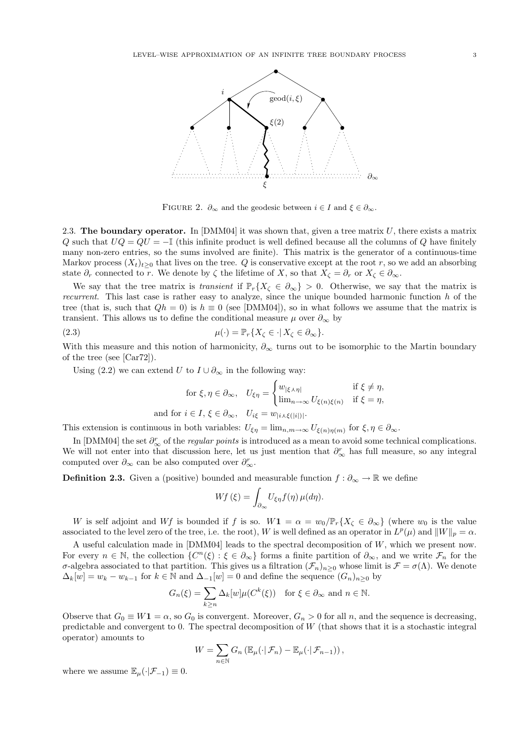

FIGURE 2.  $\partial_{\infty}$  and the geodesic between  $i \in I$  and  $\xi \in \partial_{\infty}$ .

2.3. The boundary operator. In  $[DMM04]$  it was shown that, given a tree matrix U, there exists a matrix Q such that  $UQ = QU = -\mathbb{I}$  (this infinite product is well defined because all the columns of Q have finitely many non-zero entries, so the sums involved are finite). This matrix is the generator of a continuous-time Markov process  $(X_t)_{t>0}$  that lives on the tree. Q is conservative except at the root r, so we add an absorbing state  $\partial_r$  connected to r. We denote by  $\zeta$  the lifetime of X, so that  $X_\zeta = \partial_r$  or  $X_\zeta \in \partial_\infty$ .

We say that the tree matrix is transient if  $\mathbb{P}_r\{X_\zeta \in \partial_\infty\} > 0$ . Otherwise, we say that the matrix is recurrent. This last case is rather easy to analyze, since the unique bounded harmonic function h of the tree (that is, such that  $Qh = 0$ ) is  $h \equiv 0$  (see [DMM04]), so in what follows we assume that the matrix is transient. This allows us to define the conditional measure  $\mu$  over  $\partial_{\infty}$  by

(2.3) 
$$
\mu(\cdot) = \mathbb{P}_r \{ X_\zeta \in \cdot | X_\zeta \in \partial_\infty \}.
$$

With this measure and this notion of harmonicity,  $\partial_{\infty}$  turns out to be isomorphic to the Martin boundary of the tree (see [Car72]).

Using (2.2) we can extend U to  $I \cup \partial_{\infty}$  in the following way:

$$
\text{for } \xi, \eta \in \partial_{\infty}, \quad U_{\xi\eta} = \begin{cases} w_{|\xi \wedge \eta|} & \text{if } \xi \neq \eta, \\ \lim_{n \to \infty} U_{\xi(n)\xi(n)} & \text{if } \xi = \eta, \end{cases}
$$
\n
$$
\text{and for } i \in I, \xi \in \partial_{\infty}, \quad U_{i\xi} = w_{|i \wedge \xi(|i|)|}.
$$

This extension is continuous in both variables:  $U_{\xi\eta} = \lim_{n,m \to \infty} U_{\xi(n)\eta(m)}$  for  $\xi, \eta \in \partial_{\infty}$ .

In [DMM04] the set  $\partial_{\infty}^r$  of the *regular points* is introduced as a mean to avoid some technical complications. We will not enter into that discussion here, let us just mention that  $\partial_{\infty}^r$  has full measure, so any integral computed over  $\partial_{\infty}$  can be also computed over  $\partial_{\infty}^r$ .

**Definition 2.3.** Given a (positive) bounded and measurable function  $f : \partial_{\infty} \to \mathbb{R}$  we define

$$
Wf(\xi) = \int_{\partial_{\infty}} U_{\xi\eta} f(\eta) \,\mu(d\eta).
$$

W is self adjoint and Wf is bounded if f is so.  $W\mathbf{1} = \alpha = w_0/\mathbb{P}_r\{X_\zeta \in \partial_\infty\}$  (where  $w_0$  is the value associated to the level zero of the tree, i.e. the root), W is well defined as an operator in  $L^p(\mu)$  and  $||W||_p = \alpha$ .

A useful calculation made in  $[DMM04]$  leads to the spectral decomposition of  $W$ , which we present now. For every  $n \in \mathbb{N}$ , the collection  $\{C^n(\xi): \xi \in \partial_{\infty}\}\)$  forms a finite partition of  $\partial_{\infty}$ , and we write  $\mathcal{F}_n$  for the σ-algebra associated to that partition. This gives us a filtration  $(\mathcal{F}_n)_{n\geq 0}$  whose limit is  $\mathcal{F} = \sigma(\Lambda)$ . We denote  $\Delta_k[w] = w_k - w_{k-1}$  for  $k \in \mathbb{N}$  and  $\Delta_{-1}[w] = 0$  and define the sequence  $(G_n)_{n>0}$  by

$$
G_n(\xi) = \sum_{k \ge n} \Delta_k[w] \mu(C^k(\xi)) \quad \text{for } \xi \in \partial_\infty \text{ and } n \in \mathbb{N}.
$$

Observe that  $G_0 \equiv W_1 = \alpha$ , so  $G_0$  is convergent. Moreover,  $G_n > 0$  for all n, and the sequence is decreasing, predictable and convergent to 0. The spectral decomposition of W (that shows that it is a stochastic integral operator) amounts to  $\overline{\phantom{a}}$ 

$$
W = \sum_{n \in \mathbb{N}} G_n \left( \mathbb{E}_{\mu} (\cdot | \mathcal{F}_n) - \mathbb{E}_{\mu} (\cdot | \mathcal{F}_{n-1}) \right),
$$

where we assume  $\mathbb{E}_{\mu}(\cdot|\mathcal{F}_{-1})\equiv 0$ .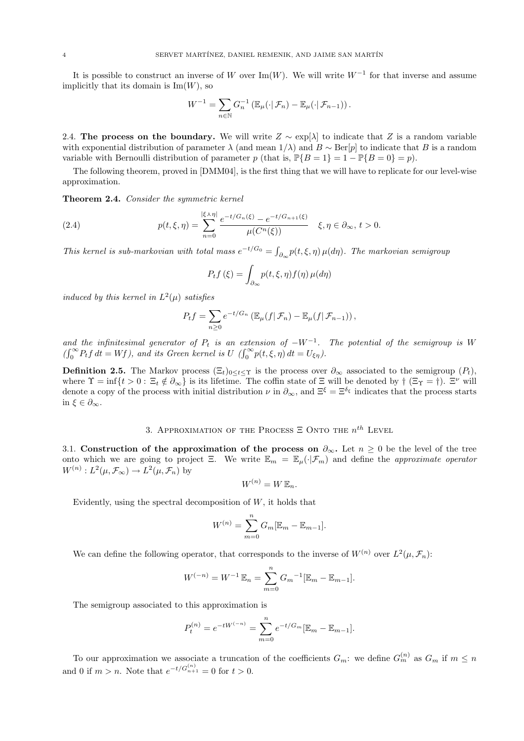It is possible to construct an inverse of W over Im(W). We will write  $W^{-1}$  for that inverse and assume implicitly that its domain is  $\text{Im}(W)$ , so

$$
W^{-1} = \sum_{n \in \mathbb{N}} G_n^{-1} \left( \mathbb{E}_{\mu} (\cdot | \mathcal{F}_n) - \mathbb{E}_{\mu} (\cdot | \mathcal{F}_{n-1}) \right).
$$

2.4. The process on the boundary. We will write  $Z \sim \exp[\lambda]$  to indicate that Z is a random variable with exponential distribution of parameter  $\lambda$  (and mean  $1/\lambda$ ) and  $B \sim \text{Ber}[p]$  to indicate that B is a random variable with Bernoulli distribution of parameter p (that is,  $\mathbb{P}{B = 1} = 1 - \mathbb{P}{B = 0} = p$ ).

The following theorem, proved in [DMM04], is the first thing that we will have to replicate for our level-wise approximation.

Theorem 2.4. Consider the symmetric kernel

(2.4) 
$$
p(t,\xi,\eta) = \sum_{n=0}^{|\xi \wedge \eta|} \frac{e^{-t/G_n(\xi)} - e^{-t/G_{n+1}(\xi)}}{\mu(C^n(\xi))} \quad \xi, \eta \in \partial_\infty, t > 0.
$$

This kernel is sub-markovian with total mass  $e^{-t/G_0} = \int$  $\int_{\partial_{\infty}} p(t,\xi,\eta) \, \mu(d\eta)$ . The markovian semigroup

$$
P_t f(\xi) = \int_{\partial_{\infty}} p(t, \xi, \eta) f(\eta) \,\mu(d\eta)
$$

induced by this kernel in  $L^2(\mu)$  satisfies

$$
P_t f = \sum_{n\geq 0} e^{-t/G_n} \left( \mathbb{E}_{\mu}(f|\mathcal{F}_n) - \mathbb{E}_{\mu}(f|\mathcal{F}_{n-1}) \right),
$$

and the infinitesimal generator of  $P_t$  is an extension of  $-W^{-1}$ . The potential of the semigroup is W  $\lim_{\substack{a \to a \\ a \to b}}$ a the infinitesimal generator of  $P_t$  is an external  $\sum_{i=0}^{\infty} P_t f dt = Wf$ ), and its Green kernel is  $U \left( \int_0^{\infty}$  $\int_0^\infty p(t,\xi,\eta) dt = U_{\xi\eta}$ .

**Definition 2.5.** The Markov process  $(\Xi_t)_{0\leq t\leq \Upsilon}$  is the process over  $\partial_{\infty}$  associated to the semigroup  $(P_t)$ , where  $\Upsilon = \inf\{t > 0: \Xi_t \notin \partial_{\infty}\}\$ is its lifetime. The coffin state of  $\Xi$  will be denoted by  $\dagger$  ( $\Xi_{\Upsilon} = \dagger$ ).  $\Xi^{\nu}$  will denote a copy of the process with initial distribution  $\nu$  in  $\partial_{\infty}$ , and  $\Xi^{\xi} = \Xi^{\delta_{\xi}}$  indicates that the process starts in  $\xi \in \partial_{\infty}$ .

## 3. APPROXIMATION OF THE PROCESS  $\Xi$  Onto the  $n^{th}$  Level

3.1. Construction of the approximation of the process on  $\partial_{\infty}$ . Let  $n \geq 0$  be the level of the tree onto which we are going to project Ξ. We write  $\mathbb{E}_m = \mathbb{E}_u(\cdot|\mathcal{F}_m)$  and define the approximate operator  $W^{(n)}: L^2(\mu, \mathcal{F}_\infty) \to L^2(\mu, \mathcal{F}_n)$  by

$$
W^{(n)} = W \, \mathbb{E}_n.
$$

Evidently, using the spectral decomposition of  $W$ , it holds that

$$
W^{(n)} = \sum_{m=0}^{n} G_m [\mathbb{E}_m - \mathbb{E}_{m-1}].
$$

We can define the following operator, that corresponds to the inverse of  $W^{(n)}$  over  $L^2(\mu, \mathcal{F}_n)$ :

$$
W^{(-n)} = W^{-1} \mathbb{E}_n = \sum_{m=0}^n G_m^{-1} [\mathbb{E}_m - \mathbb{E}_{m-1}].
$$

The semigroup associated to this approximation is

$$
P_t^{(n)} = e^{-tW^{(-n)}} = \sum_{m=0}^{n} e^{-t/G_m} [\mathbb{E}_m - \mathbb{E}_{m-1}].
$$

To our approximation we associate a truncation of the coefficients  $G_m$ : we define  $G_m^{(n)}$  as  $G_m$  if  $m \leq n$ and 0 if  $m > n$ . Note that  $e^{-t/G_{n+1}^{(n)}} = 0$  for  $t > 0$ .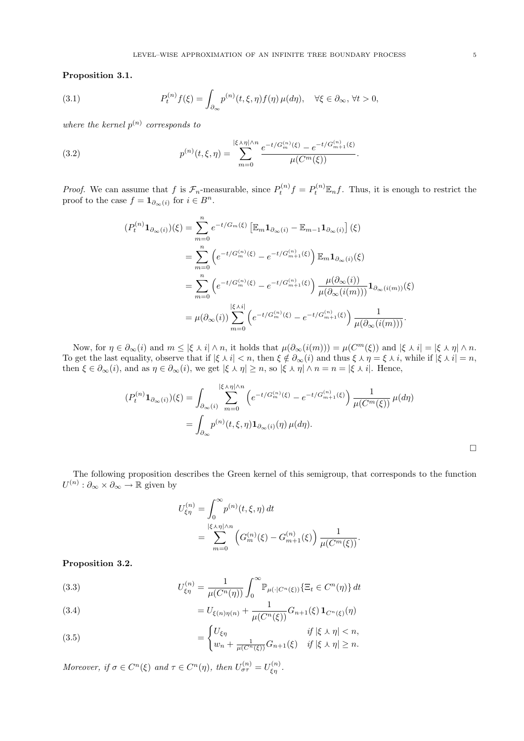Proposition 3.1.

(3.1) 
$$
P_t^{(n)}f(\xi) = \int_{\partial_{\infty}} p^{(n)}(t,\xi,\eta)f(\eta)\,\mu(d\eta), \quad \forall \xi \in \partial_{\infty}, \,\forall t > 0,
$$

where the kernel  $p^{(n)}$  corresponds to

(3.2) 
$$
p^{(n)}(t,\xi,\eta) = \sum_{m=0}^{|\xi \wedge \eta| \wedge n} \frac{e^{-t/G_m^{(n)}(\xi)} - e^{-t/G_{m+1}^{(n)}(\xi)}}{\mu(C^m(\xi))}.
$$

*Proof.* We can assume that f is  $\mathcal{F}_n$ -measurable, since  $P_t^{(n)} f = P_t^{(n)} \mathbb{E}_n f$ . Thus, it is enough to restrict the proof to the case  $f = \mathbf{1}_{\partial_{\infty}(i)}$  for  $i \in B^n$ .

$$
(P_t^{(n)} \mathbf{1}_{\partial_{\infty}(i)})(\xi) = \sum_{m=0}^n e^{-t/G_m(\xi)} \left[ \mathbb{E}_m \mathbf{1}_{\partial_{\infty}(i)} - \mathbb{E}_{m-1} \mathbf{1}_{\partial_{\infty}(i)} \right](\xi)
$$
  
\n
$$
= \sum_{m=0}^n \left( e^{-t/G_m^{(n)}(\xi)} - e^{-t/G_{m+1}^{(n)}(\xi)} \right) \mathbb{E}_m \mathbf{1}_{\partial_{\infty}(i)}(\xi)
$$
  
\n
$$
= \sum_{m=0}^n \left( e^{-t/G_m^{(n)}(\xi)} - e^{-t/G_{m+1}^{(n)}(\xi)} \right) \frac{\mu(\partial_{\infty}(i))}{\mu(\partial_{\infty}(i(m)))} \mathbf{1}_{\partial_{\infty}(i(m))}(\xi)
$$
  
\n
$$
= \mu(\partial_{\infty}(i)) \sum_{m=0}^{|\xi \wedge i|} \left( e^{-t/G_m^{(n)}(\xi)} - e^{-t/G_{m+1}^{(n)}(\xi)} \right) \frac{1}{\mu(\partial_{\infty}(i(m)))}.
$$

Now, for  $\eta \in \partial_{\infty}(i)$  and  $m \leq |\xi \wedge i| \wedge n$ , it holds that  $\mu(\partial_{\infty}(i(m))) = \mu(C^{m}(\xi))$  and  $|\xi \wedge i| = |\xi \wedge \eta| \wedge n$ . To get the last equality, observe that if  $|\xi \wedge i| < n$ , then  $\xi \notin \partial_{\infty}(i)$  and thus  $\xi \wedge \eta = \xi \wedge i$ , while if  $|\xi \wedge i| = n$ , then  $\xi \in \partial_{\infty}(i)$ , and as  $\eta \in \partial_{\infty}(i)$ , we get  $|\xi \wedge \eta| \geq n$ , so  $|\xi \wedge \eta| \wedge n = n = |\xi \wedge i|$ . Hence,

$$
(P_t^{(n)} \mathbf{1}_{\partial_{\infty}(i)})(\xi) = \int_{\partial_{\infty}(i)} \sum_{m=0}^{|\xi \wedge \eta| \wedge n} \left( e^{-t/G_m^{(n)}(\xi)} - e^{-t/G_{m+1}^{(n)}(\xi)} \right) \frac{1}{\mu(C^m(\xi))} \mu(d\eta)
$$

$$
= \int_{\partial_{\infty}} p^{(n)}(t, \xi, \eta) \mathbf{1}_{\partial_{\infty}(i)}(\eta) \mu(d\eta).
$$

The following proposition describes the Green kernel of this semigroup, that corresponds to the function  $U^{(n)}: \partial_{\infty} \times \partial_{\infty} \to \mathbb{R}$  given by

$$
U_{\xi\eta}^{(n)} = \int_0^\infty p^{(n)}(t,\xi,\eta) dt
$$
  
= 
$$
\sum_{m=0}^{|\xi \wedge \eta| \wedge n} \left( G_m^{(n)}(\xi) - G_{m+1}^{(n)}(\xi) \right) \frac{1}{\mu(C^m(\xi))}.
$$

Proposition 3.2.

(3.3) 
$$
U_{\xi\eta}^{(n)} = \frac{1}{\mu(C^n(\eta))} \int_0^\infty \mathbb{P}_{\mu(\cdot|C^n(\xi))} \{ \Xi_t \in C^n(\eta) \} dt
$$

(3.4) 
$$
= U_{\xi(n)\eta(n)} + \frac{1}{\mu(C^n(\xi))} G_{n+1}(\xi) \mathbf{1}_{C^n(\xi)}(\eta)
$$

(3.5) 
$$
= \begin{cases} U_{\xi\eta} & \text{if } |\xi \wedge \eta| < n, \\ w_n + \frac{1}{\mu(C^n(\xi))} G_{n+1}(\xi) & \text{if } |\xi \wedge \eta| \ge n. \end{cases}
$$

Moreover, if  $\sigma \in C^n(\xi)$  and  $\tau \in C^n(\eta)$ , then  $U_{\sigma\tau}^{(n)} = U_{\xi\eta}^{(n)}$ .

 $\Box$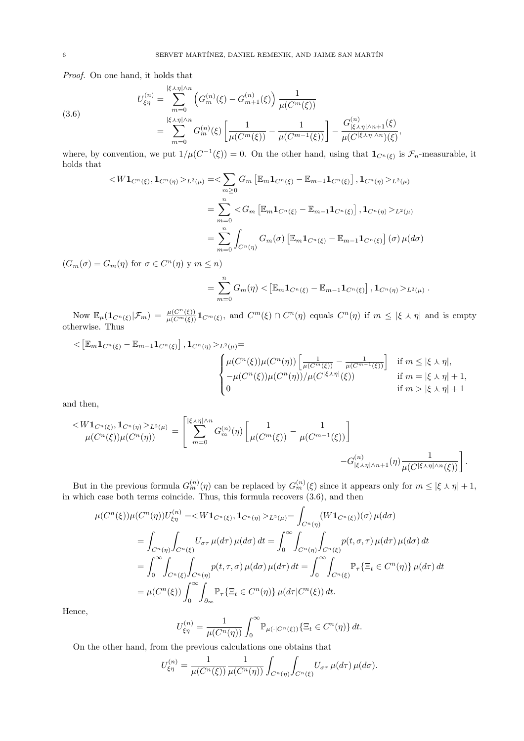Proof. On one hand, it holds that

(3.6)  

$$
U_{\xi\eta}^{(n)} = \sum_{m=0}^{|\xi \wedge \eta| \wedge n} \left( G_m^{(n)}(\xi) - G_{m+1}^{(n)}(\xi) \right) \frac{1}{\mu(C^m(\xi))}
$$

$$
= \sum_{m=0}^{|\xi \wedge \eta| \wedge n} G_m^{(n)}(\xi) \left[ \frac{1}{\mu(C^m(\xi))} - \frac{1}{\mu(C^{m-1}(\xi))} \right] - \frac{G_{|\xi \wedge \eta| \wedge n+1}^{(n)}(\xi)}{\mu(C^{|\xi \wedge \eta| \wedge n})(\xi)},
$$

where, by convention, we put  $1/\mu(C^{-1}(\xi)) = 0$ . On the other hand, using that  $\mathbf{1}_{C^n(\xi)}$  is  $\mathcal{F}_n$ -measurable, it holds that  $\overline{a}$ 

$$
\langle W\mathbf{1}_{C^{n}(\xi)}, \mathbf{1}_{C^{n}(\eta)} \rangle_{L^{2}(\mu)} = \langle \sum_{m \geq 0} G_{m} \left[ \mathbb{E}_{m} \mathbf{1}_{C^{n}(\xi)} - \mathbb{E}_{m-1} \mathbf{1}_{C^{n}(\xi)} \right], \mathbf{1}_{C^{n}(\eta)} \rangle_{L^{2}(\mu)}
$$
  

$$
= \sum_{m=0}^{n} \langle G_{m} \left[ \mathbb{E}_{m} \mathbf{1}_{C^{n}(\xi)} - \mathbb{E}_{m-1} \mathbf{1}_{C^{n}(\xi)} \right], \mathbf{1}_{C^{n}(\eta)} \rangle_{L^{2}(\mu)}
$$
  

$$
= \sum_{m=0}^{n} \int_{C^{n}(\eta)} G_{m}(\sigma) \left[ \mathbb{E}_{m} \mathbf{1}_{C^{n}(\xi)} - \mathbb{E}_{m-1} \mathbf{1}_{C^{n}(\xi)} \right] (\sigma) \mu(d\sigma)
$$

 $(G_m(\sigma) = G_m(\eta) \text{ for } \sigma \in C^n(\eta) \text{ y } m \leq n)$ 

$$
= \sum_{m=0}^n G_m(\eta) < \left[ \mathbb{E}_m \mathbf{1}_{C^n(\xi)} - \mathbb{E}_{m-1} \mathbf{1}_{C^n(\xi)} \right], \mathbf{1}_{C^n(\eta)} >_{L^2(\mu)}.
$$

Now  $\mathbb{E}_{\mu}(\mathbf{1}_{C^n(\xi)}|\mathcal{F}_m) = \frac{\mu(C^n(\xi))}{\mu(C^m(\xi))}\mathbf{1}_{C^m(\xi)},$  and  $C^m(\xi) \cap C^n(\eta)$  equals  $C^n(\eta)$  if  $m \leq |\xi \wedge \eta|$  and is empty otherwise. Thus

$$
\langle \left[ \mathbb{E}_m \mathbf{1}_{C^n(\xi)} - \mathbb{E}_{m-1} \mathbf{1}_{C^n(\xi)} \right], \mathbf{1}_{C^n(\eta)} >_{L^2(\mu)} =
$$
\n
$$
\begin{cases}\n\mu(C^n(\xi)) \mu(C^n(\eta)) \left[ \frac{1}{\mu(C^m(\xi))} - \frac{1}{\mu(C^{m-1}(\xi))} \right] & \text{if } m \leq |\xi \wedge \eta|, \\
-\mu(C^n(\xi)) \mu(C^n(\eta)) / \mu(C^{|\xi \wedge \eta|}(\xi)) & \text{if } m = |\xi \wedge \eta| + 1, \\
0 & \text{if } m > |\xi \wedge \eta| + 1\n\end{cases}
$$

and then,

 $\overline{a}$ 

$$
\frac{\langle W\mathbf{1}_{C^{n}(\xi)}, \mathbf{1}_{C^{n}(\eta)} \rangle_{L^{2}(\mu)}}{\mu(C^{n}(\xi))\mu(C^{n}(\eta))} = \left[ \sum_{m=0}^{|\xi \wedge \eta| \wedge n} G_{m}^{(n)}(\eta) \left[ \frac{1}{\mu(C^{m}(\xi))} - \frac{1}{\mu(C^{m-1}(\xi))} \right] - G_{|\xi \wedge \eta| \wedge n+1}^{(n)}(\eta) \frac{1}{\mu(C^{|\xi \wedge \eta| \wedge n}(\xi))} \right].
$$

But in the previous formula  $G_m^{(n)}(\eta)$  can be replaced by  $G_m^{(n)}(\xi)$  since it appears only for  $m \leq |\xi \wedge \eta| + 1$ , in which case both terms coincide. Thus, this formula recovers (3.6), and then

$$
\mu(C^n(\xi))\mu(C^n(\eta))U_{\xi\eta}^{(n)} = \langle W\mathbf{1}_{C^n(\xi)}, \mathbf{1}_{C^n(\eta)} \rangle_{L^2(\mu)} = \int_{C^n(\eta)} (W\mathbf{1}_{C^n(\xi)})(\sigma) \mu(d\sigma)
$$
  
\n
$$
= \int_{C^n(\eta)} \int_{C^n(\xi)} U_{\sigma\tau} \mu(d\tau) \mu(d\sigma) dt = \int_0^{\infty} \int_{C^n(\eta)} \int_{C^n(\xi)} p(t, \sigma, \tau) \mu(d\tau) \mu(d\sigma) dt
$$
  
\n
$$
= \int_0^{\infty} \int_{C^n(\xi)} \int_{C^n(\eta)} p(t, \tau, \sigma) \mu(d\sigma) \mu(d\tau) dt = \int_0^{\infty} \int_{C^n(\xi)} \mathbb{P}_{\tau} \{\Xi_t \in C^n(\eta)\} \mu(d\tau) dt
$$
  
\n
$$
= \mu(C^n(\xi)) \int_0^{\infty} \int_{\partial_{\infty}} \mathbb{P}_{\tau} \{\Xi_t \in C^n(\eta)\} \mu(d\tau|C^n(\xi)) dt.
$$

Hence,

$$
U_{\xi\eta}^{(n)} = \frac{1}{\mu(C^n(\eta))} \int_0^\infty \mathbb{P}_{\mu(\cdot|C^n(\xi))} \{\Xi_t \in C^n(\eta)\} dt.
$$

On the other hand, from the previous calculations one obtains that

$$
U_{\xi\eta}^{(n)} = \frac{1}{\mu(C^n(\xi))} \frac{1}{\mu(C^n(\eta))} \int_{C^n(\eta)} \int_{C^n(\xi)} U_{\sigma\tau} \,\mu(d\tau) \,\mu(d\sigma).
$$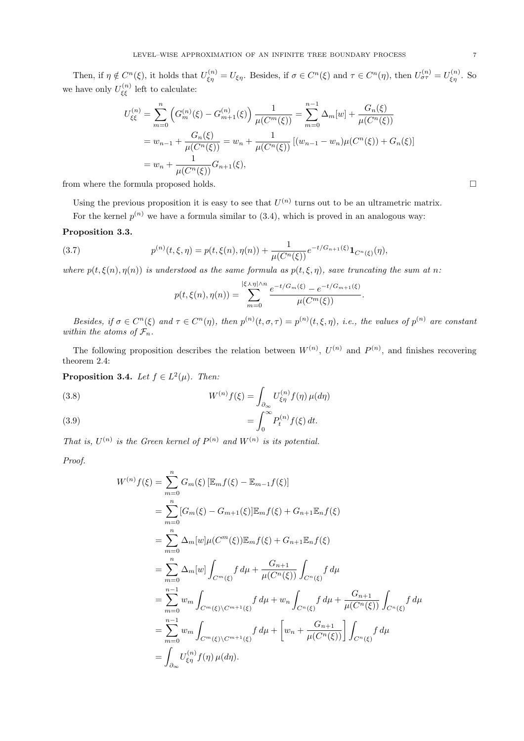Then, if  $\eta \notin C^n(\xi)$ , it holds that  $U_{\xi\eta}^{(n)} = U_{\xi\eta}$ . Besides, if  $\sigma \in C^n(\xi)$  and  $\tau \in C^n(\eta)$ , then  $U_{\sigma\tau}^{(n)} = U_{\xi\eta}^{(n)}$ . So we have only  $U_{\xi\xi}^{(n)}$  left to calculate:

$$
U_{\xi\xi}^{(n)} = \sum_{m=0}^{n} \left( G_m^{(n)}(\xi) - G_{m+1}^{(n)}(\xi) \right) \frac{1}{\mu(C^m(\xi))} = \sum_{m=0}^{n-1} \Delta_m[w] + \frac{G_n(\xi)}{\mu(C^n(\xi))}
$$
  
=  $w_{n-1} + \frac{G_n(\xi)}{\mu(C^n(\xi))} = w_n + \frac{1}{\mu(C^n(\xi))} [(w_{n-1} - w_n)\mu(C^n(\xi)) + G_n(\xi)]$   
=  $w_n + \frac{1}{\mu(C^n(\xi))} G_{n+1}(\xi),$ 

from where the formula proposed holds.  $\Box$ 

Using the previous proposition it is easy to see that  $U^{(n)}$  turns out to be an ultrametric matrix.

For the kernel  $p^{(n)}$  we have a formula similar to (3.4), which is proved in an analogous way:

### Proposition 3.3.

(3.7) 
$$
p^{(n)}(t,\xi,\eta) = p(t,\xi(n),\eta(n)) + \frac{1}{\mu(C^n(\xi))}e^{-t/G_{n+1}(\xi)}\mathbf{1}_{C^n(\xi)}(\eta),
$$

where  $p(t, \xi(n), \eta(n))$  is understood as the same formula as  $p(t, \xi, \eta)$ , save truncating the sum at n:

$$
p(t,\xi(n),\eta(n)) = \sum_{m=0}^{|\xi \wedge \eta| \wedge n} \frac{e^{-t/G_m(\xi)} - e^{-t/G_{m+1}(\xi)}}{\mu(C^m(\xi))}.
$$

Besides, if  $\sigma \in C^n(\xi)$  and  $\tau \in C^n(\eta)$ , then  $p^{(n)}(t,\sigma,\tau) = p^{(n)}(t,\xi,\eta)$ , i.e., the values of  $p^{(n)}$  are constant within the atoms of  $\mathcal{F}_n$ .

The following proposition describes the relation between  $W^{(n)}$ ,  $U^{(n)}$  and  $P^{(n)}$ , and finishes recovering theorem 2.4:

**Proposition 3.4.** Let  $f \in L^2(\mu)$ . Then:

(3.8)  
\n
$$
W^{(n)}f(\xi) = \int_{\partial_{\infty}} U_{\xi\eta}^{(n)} f(\eta) \,\mu(d\eta)
$$
\n
$$
= \int_{0}^{\infty} P_{t}^{(n)} f(\xi) \, dt.
$$

That is,  $U^{(n)}$  is the Green kernel of  $P^{(n)}$  and  $W^{(n)}$  is its potential.

Proof.

$$
W^{(n)}f(\xi) = \sum_{m=0}^{n} G_m(\xi) [\mathbb{E}_m f(\xi) - \mathbb{E}_{m-1} f(\xi)]
$$
  
\n
$$
= \sum_{m=0}^{n} [G_m(\xi) - G_{m+1}(\xi)] \mathbb{E}_m f(\xi) + G_{n+1} \mathbb{E}_n f(\xi)
$$
  
\n
$$
= \sum_{m=0}^{n} \Delta_m[w] \mu(C^m(\xi)) \mathbb{E}_m f(\xi) + G_{n+1} \mathbb{E}_n f(\xi)
$$
  
\n
$$
= \sum_{m=0}^{n} \Delta_m[w] \int_{C^m(\xi)} f d\mu + \frac{G_{n+1}}{\mu(C^n(\xi))} \int_{C^n(\xi)} f d\mu
$$
  
\n
$$
= \sum_{m=0}^{n-1} w_m \int_{C^m(\xi) \setminus C^{m+1}(\xi)} f d\mu + w_n \int_{C^n(\xi)} f d\mu + \frac{G_{n+1}}{\mu(C^n(\xi))} \int_{C^n(\xi)} f d\mu
$$
  
\n
$$
= \sum_{m=0}^{n-1} w_m \int_{C^m(\xi) \setminus C^{m+1}(\xi)} f d\mu + \left[w_n + \frac{G_{n+1}}{\mu(C^n(\xi))}\right] \int_{C^n(\xi)} f d\mu
$$
  
\n
$$
= \int_{\partial_{\infty}} U_{\xi\eta}^{(n)} f(\eta) \mu(d\eta).
$$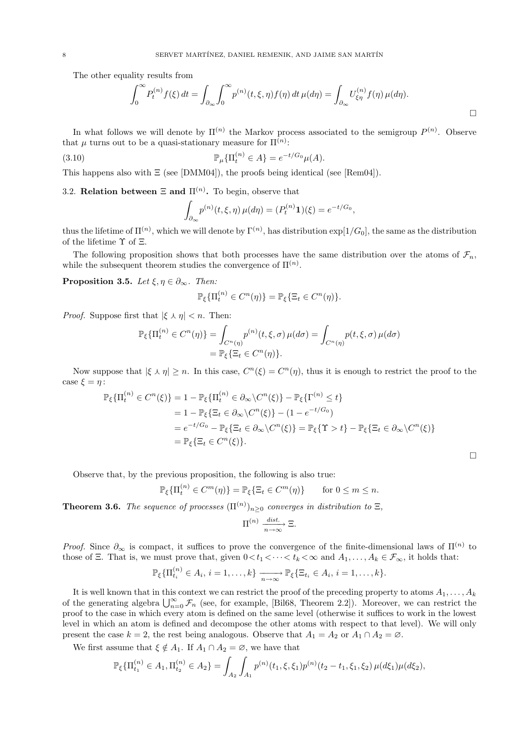The other equality results from  $\int_{\alpha}^{\infty}$ 

$$
\int_0^\infty P_t^{(n)} f(\xi) dt = \int_{\partial_\infty} \int_0^\infty p^{(n)}(t, \xi, \eta) f(\eta) dt \,\mu(d\eta) = \int_{\partial_\infty} U_{\xi\eta}^{(n)} f(\eta) \,\mu(d\eta).
$$

In what follows we will denote by  $\Pi^{(n)}$  the Markov process associated to the semigroup  $P^{(n)}$ . Observe that  $\mu$  turns out to be a quasi-stationary measure for  $\Pi^{(n)}$ :

(3.10) 
$$
\mathbb{P}_{\mu} \{ \Pi_t^{(n)} \in A \} = e^{-t/G_0} \mu(A).
$$

This happens also with  $\Xi$  (see [DMM04]), the proofs being identical (see [Rem04]).

# 3.2. **Relation between**  $\Xi$  and  $\Pi^{(n)}$ . To begin, observe that

$$
\int_{\partial_{\infty}} p^{(n)}(t,\xi,\eta) \,\mu(d\eta) = (P_t^{(n)}\mathbf{1})(\xi) = e^{-t/G_0},
$$

thus the lifetime of  $\Pi^{(n)}$ , which we will denote by  $\Gamma^{(n)}$ , has distribution  $\exp[1/G_0]$ , the same as the distribution of the lifetime  $\Upsilon$  of  $\Xi$ .

The following proposition shows that both processes have the same distribution over the atoms of  $\mathcal{F}_n$ , while the subsequent theorem studies the convergence of  $\Pi^{(n)}$ .

**Proposition 3.5.** Let  $\xi, \eta \in \partial_{\infty}$ . Then:

$$
\mathbb{P}_{\xi}\{\Pi_t^{(n)} \in C^n(\eta)\} = \mathbb{P}_{\xi}\{\Xi_t \in C^n(\eta)\}.
$$

*Proof.* Suppose first that  $|\xi \wedge \eta| < n$ . Then:

$$
\mathbb{P}_{\xi}\{\Pi_t^{(n)} \in C^n(\eta)\} = \int_{C^n(\eta)} p^{(n)}(t,\xi,\sigma) \,\mu(d\sigma) = \int_{C^n(\eta)} p(t,\xi,\sigma) \,\mu(d\sigma)
$$

$$
= \mathbb{P}_{\xi}\{\Xi_t \in C^n(\eta)\}.
$$

Now suppose that  $|\xi \wedge \eta| \geq n$ . In this case,  $C^{n}(\xi) = C^{n}(\eta)$ , thus it is enough to restrict the proof to the case  $\xi = \eta$ :

$$
\mathbb{P}_{\xi}\{\Pi_{t}^{(n)} \in C^{n}(\xi)\} = 1 - \mathbb{P}_{\xi}\{\Pi_{t}^{(n)} \in \partial_{\infty} \setminus C^{n}(\xi)\} - \mathbb{P}_{\xi}\{\Gamma^{(n)} \leq t\}
$$
  
\n
$$
= 1 - \mathbb{P}_{\xi}\{\Xi_{t} \in \partial_{\infty} \setminus C^{n}(\xi)\} - (1 - e^{-t/G_{0}})
$$
  
\n
$$
= e^{-t/G_{0}} - \mathbb{P}_{\xi}\{\Xi_{t} \in \partial_{\infty} \setminus C^{n}(\xi)\} = \mathbb{P}_{\xi}\{\Upsilon > t\} - \mathbb{P}_{\xi}\{\Xi_{t} \in \partial_{\infty} \setminus C^{n}(\xi)\}
$$
  
\n
$$
= \mathbb{P}_{\xi}\{\Xi_{t} \in C^{n}(\xi)\}.
$$

 $\Box$ 

Observe that, by the previous proposition, the following is also true:

$$
\mathbb{P}_{\xi}\{\Pi_t^{(n)} \in C^m(\eta)\} = \mathbb{P}_{\xi}\{\Xi_t \in C^m(\eta)\} \quad \text{for } 0 \le m \le n.
$$

**Theorem 3.6.** The sequence of processes  $(\Pi^{(n)})_{n\geq 0}$  converges in distribution to  $\Xi$ ,

$$
\Pi^{(n)} \xrightarrow[n \to \infty]{dist.} \Xi.
$$

*Proof.* Since  $\partial_{\infty}$  is compact, it suffices to prove the convergence of the finite-dimensional laws of  $\Pi^{(n)}$  to those of Ξ. That is, we must prove that, given  $0 < t_1 < \cdots < t_k < \infty$  and  $A_1, \ldots, A_k \in \mathcal{F}_{\infty}$ , it holds that:

$$
\mathbb{P}_{\xi}\{\Pi_{t_i}^{(n)}\in A_i,\,i=1,\ldots,k\}\xrightarrow[n\to\infty]{} \mathbb{P}_{\xi}\{\Xi_{t_i}\in A_i,\,i=1,\ldots,k\}.
$$

It is well known that in this context we can restrict the proof of the preceding property to atoms  $A_1, \ldots, A_k$ It is well known that in this context we can restrict the proof of the preceding property to atoms  $A_1, \ldots, A_k$ <br>of the generating algebra  $\bigcup_{n=0}^{\infty} \mathcal{F}_n$  (see, for example, [Bil68, Theorem 2.2]). Moreover, we can r proof to the case in which every atom is defined on the same level (otherwise it suffices to work in the lowest level in which an atom is defined and decompose the other atoms with respect to that level). We will only present the case  $k = 2$ , the rest being analogous. Observe that  $A_1 = A_2$  or  $A_1 \cap A_2 = \emptyset$ .

We first assume that  $\xi \notin A_1$ . If  $A_1 \cap A_2 = \emptyset$ , we have that

$$
\mathbb{P}_{\xi}\{\Pi_{t_1}^{(n)} \in A_1, \Pi_{t_2}^{(n)} \in A_2\} = \int_{A_2} \int_{A_1} p^{(n)}(t_1, \xi, \xi_1) p^{(n)}(t_2 - t_1, \xi_1, \xi_2) \, \mu(d\xi_1) \mu(d\xi_2),
$$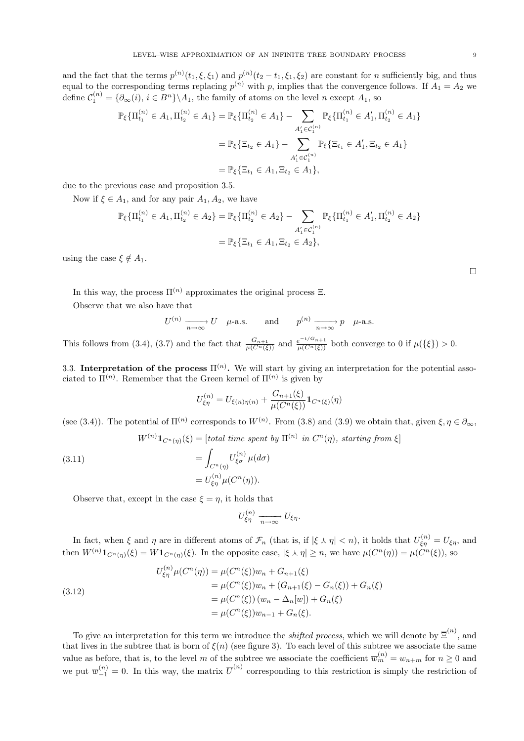and the fact that the terms  $p^{(n)}(t_1,\xi,\xi_1)$  and  $p^{(n)}(t_2-t_1,\xi_1,\xi_2)$  are constant for n sufficiently big, and thus equal to the corresponding terms replacing  $p^{(n)}$  with p, implies that the convergence follows. If  $A_1 = A_2$  we define  $C_1^{(n)} = \{ \partial_\infty(i), i \in B^n \} \backslash A_1$ , the family of atoms on the level n except  $A_1$ , so

$$
\mathbb{P}_{\xi}\{\Pi_{t_1}^{(n)} \in A_1, \Pi_{t_2}^{(n)} \in A_1\} = \mathbb{P}_{\xi}\{\Pi_{t_2}^{(n)} \in A_1\} - \sum_{A'_1 \in C_1^{(n)}} \mathbb{P}_{\xi}\{\Pi_{t_1}^{(n)} \in A'_1, \Pi_{t_2}^{(n)} \in A_1\}
$$

$$
= \mathbb{P}_{\xi}\{\Xi_{t_2} \in A_1\} - \sum_{A'_1 \in C_1^{(n)}} \mathbb{P}_{\xi}\{\Xi_{t_1} \in A'_1, \Xi_{t_2} \in A_1\}
$$

$$
= \mathbb{P}_{\xi}\{\Xi_{t_1} \in A_1, \Xi_{t_2} \in A_1\},
$$

due to the previous case and proposition 3.5.

Now if  $\xi \in A_1$ , and for any pair  $A_1, A_2$ , we have

$$
\mathbb{P}_{\xi}\{\Pi_{t_1}^{(n)} \in A_1, \Pi_{t_2}^{(n)} \in A_2\} = \mathbb{P}_{\xi}\{\Pi_{t_2}^{(n)} \in A_2\} - \sum_{A'_1 \in C_1^{(n)}} \mathbb{P}_{\xi}\{\Pi_{t_1}^{(n)} \in A'_1, \Pi_{t_2}^{(n)} \in A_2\}
$$

$$
= \mathbb{P}_{\xi}\{\Xi_{t_1} \in A_1, \Xi_{t_2} \in A_2\},
$$

using the case  $\xi \notin A_1$ .

In this way, the process  $\Pi^{(n)}$  approximates the original process  $\Xi$ .

Observe that we also have that

$$
U^{(n)} \xrightarrow[n \to \infty]{} U \quad \mu
$$
-a.s. and  $p^{(n)} \xrightarrow[n \to \infty]{} p \quad \mu$ -a.s.

This follows from (3.4), (3.7) and the fact that  $\frac{G_{n+1}}{\mu(C^n(\xi))}$  and  $\frac{e^{-t/G_{n+1}}}{\mu(C^n(\xi))}$  both converge to 0 if  $\mu({\{\xi\}}) > 0$ .

3.3. Interpretation of the process  $\Pi^{(n)}$ . We will start by giving an interpretation for the potential associated to  $\Pi^{(n)}$ . Remember that the Green kernel of  $\Pi^{(n)}$  is given by

$$
U_{\xi\eta}^{(n)} = U_{\xi(n)\eta(n)} + \frac{G_{n+1}(\xi)}{\mu(C^n(\xi))} \mathbf{1}_{C^n(\xi)}(\eta)
$$

(see (3.4)). The potential of  $\Pi^{(n)}$  corresponds to  $W^{(n)}$ . From (3.8) and (3.9) we obtain that, given  $\xi, \eta \in \partial_{\infty}$ ,

$$
W^{(n)}\mathbf{1}_{C^n(\eta)}(\xi) = [\text{total time spent by } \Pi^{(n)} \text{ in } C^n(\eta), \text{ starting from } \xi]
$$

(3.11) 
$$
= \int_{C^n(\eta)} U_{\xi\sigma}^{(n)} \mu(d\sigma)
$$

$$
= U_{\xi\eta}^{(n)} \mu(C^n(\eta)).
$$

Observe that, except in the case  $\xi = \eta$ , it holds that

$$
U_{\xi\eta}^{(n)} \xrightarrow[n \to \infty]{} U_{\xi\eta}.
$$

In fact, when  $\xi$  and  $\eta$  are in different atoms of  $\mathcal{F}_n$  (that is, if  $|\xi \wedge \eta| < n$ ), it holds that  $U_{\xi\eta}^{(n)} = U_{\xi\eta}$ , and then  $W^{(n)}\mathbf{1}_{C^n(\eta)}(\xi) = W\mathbf{1}_{C^n(\eta)}(\xi)$ . In the opposite case,  $|\xi \wedge \eta| \geq n$ , we have  $\mu(C^n(\eta)) = \mu(C^n(\xi))$ , so

(3.12)  
\n
$$
U_{\xi\eta}^{(n)}\mu(C^{n}(\eta)) = \mu(C^{n}(\xi))w_{n} + G_{n+1}(\xi)
$$
\n
$$
= \mu(C^{n}(\xi))w_{n} + (G_{n+1}(\xi) - G_{n}(\xi)) + G_{n}(\xi)
$$
\n
$$
= \mu(C^{n}(\xi))(w_{n} - \Delta_{n}[w]) + G_{n}(\xi)
$$
\n
$$
= \mu(C^{n}(\xi))w_{n-1} + G_{n}(\xi).
$$

To give an interpretation for this term we introduce the *shifted process*, which we will denote by  $\overline{\Xi}^{(n)}$ , and that lives in the subtree that is born of  $\xi(n)$  (see figure 3). To each level of this subtree we associate the same value as before, that is, to the level m of the subtree we associate the coefficient  $\overline{w}_m^{(n)} = w_{n+m}$  for  $n \geq 0$  and we put  $\overline{w}_{-1}^{(n)} = 0$ . In this way, the matrix  $\overline{U}^{(n)}$  corresponding to this restriction is simply the restriction of

¤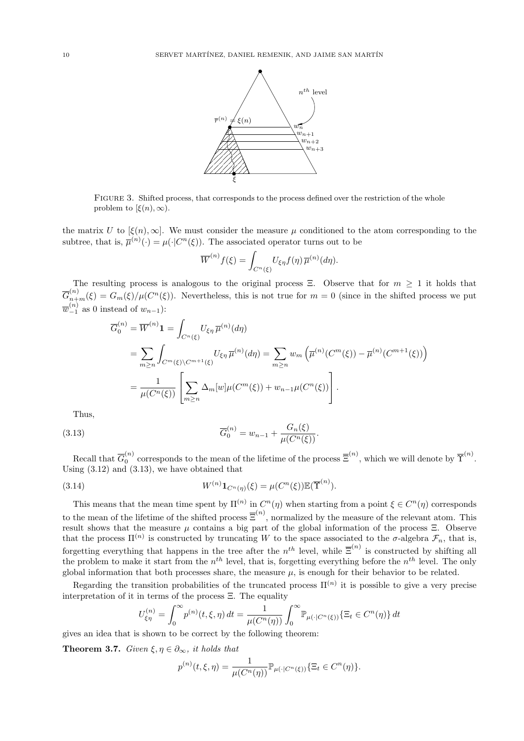

Figure 3. Shifted process, that corresponds to the process defined over the restriction of the whole problem to  $[\xi(n), \infty)$ .

the matrix U to  $[\xi(n), \infty]$ . We must consider the measure  $\mu$  conditioned to the atom corresponding to the subtree, that is,  $\overline{\mu}^{(n)}(\cdot) = \mu(\cdot | C^n(\xi))$ . The associated operator turns out to be

$$
\overline{W}^{(n)}f(\xi) = \int_{C^n(\xi)} U_{\xi\eta}f(\eta)\,\overline{\mu}^{(n)}(d\eta).
$$

The resulting process is analogous to the original process Ξ. Observe that for  $m \geq 1$  it holds that  $\overline{G}_{n+m}^{(n)}(\xi) = G_m(\xi)/\mu(C^n(\xi)).$  Nevertheless, this is not true for  $m=0$  (since in the shifted process we put  $\overline{w}_{-1}^{(n)}$  as 0 instead of  $w_{n-1}$ ):

$$
\overline{G}_{0}^{(n)} = \overline{W}^{(n)} \mathbf{1} = \int_{C^{n}(\xi)} U_{\xi\eta} \, \overline{\mu}^{(n)}(d\eta)
$$
\n
$$
= \sum_{m \geq n} \int_{C^{m}(\xi) \backslash C^{m+1}(\xi)} U_{\xi\eta} \, \overline{\mu}^{(n)}(d\eta) = \sum_{m \geq n} w_m \left( \overline{\mu}^{(n)}(C^{m}(\xi)) - \overline{\mu}^{(n)}(C^{m+1}(\xi)) \right)
$$
\n
$$
= \frac{1}{\mu(C^{n}(\xi))} \left[ \sum_{m \geq n} \Delta_m[w] \mu(C^{m}(\xi)) + w_{n-1} \mu(C^{n}(\xi)) \right].
$$

Thus,

(3.13) 
$$
\overline{G}_0^{(n)} = w_{n-1} + \frac{G_n(\xi)}{\mu(C^n(\xi))}.
$$

Recall that  $\overline{G}_0^{(n)}$  $\mathbb{E}^{(n)}$  corresponds to the mean of the lifetime of the process  $\mathbb{E}^{(n)}$ , which we will denote by  $\mathbb{T}^{(n)}$ . Using (3.12) and (3.13), we have obtained that

(3.14) 
$$
W^{(n)}\mathbf{1}_{C^n(\eta)}(\xi) = \mu(C^n(\xi))\mathbb{E}(\overline{\Upsilon}^{(n)}).
$$

This means that the mean time spent by  $\Pi^{(n)}$  in  $C^n(\eta)$  when starting from a point  $\xi \in C^n(\eta)$  corresponds to the mean of the lifetime of the shifted process  $\overline{\Xi}^{(n)}$ , normalized by the measure of the relevant atom. This result shows that the measure  $\mu$  contains a big part of the global information of the process Ξ. Observe that the process  $\Pi^{(n)}$  is constructed by truncating W to the space associated to the  $\sigma$ -algebra  $\mathcal{F}_n$ , that is, forgetting everything that happens in the tree after the  $n^{th}$  level, while  $\overline{\Xi}^{(n)}$  is constructed by shifting all the problem to make it start from the  $n^{th}$  level, that is, forgetting everything before the  $n^{th}$  level. The only global information that both processes share, the measure  $\mu$ , is enough for their behavior to be related.

Regarding the transition probabilities of the truncated process  $\Pi^{(n)}$  it is possible to give a very precise interpretation of it in terms of the process  $\Xi$ . The equality

$$
U_{\xi\eta}^{(n)} = \int_0^\infty p^{(n)}(t,\xi,\eta) dt = \frac{1}{\mu(C^n(\eta))} \int_0^\infty \mathbb{P}_{\mu(\cdot|C^n(\xi))} \{\Xi_t \in C^n(\eta)\} dt
$$

gives an idea that is shown to be correct by the following theorem:

**Theorem 3.7.** Given  $\xi, \eta \in \partial_{\infty}$ , it holds that

$$
p^{(n)}(t,\xi,\eta) = \frac{1}{\mu(C^n(\eta))} \mathbb{P}_{\mu(\cdot|C^n(\xi))} \{ \Xi_t \in C^n(\eta) \}.
$$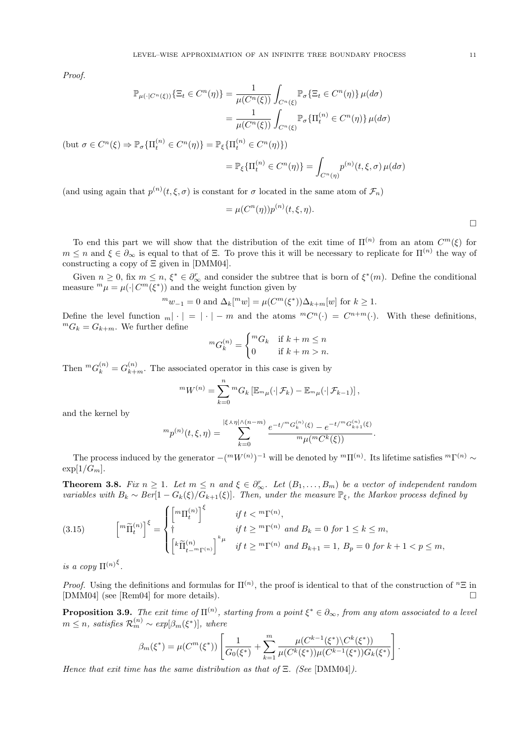Proof.

$$
\mathbb{P}_{\mu(\cdot|C^n(\xi))}\{\Xi_t \in C^n(\eta)\} = \frac{1}{\mu(C^n(\xi))} \int_{C^n(\xi)} \mathbb{P}_{\sigma}\{\Xi_t \in C^n(\eta)\} \mu(d\sigma)
$$

$$
= \frac{1}{\mu(C^n(\xi))} \int_{C^n(\xi)} \mathbb{P}_{\sigma}\{\Pi_t^{(n)} \in C^n(\eta)\} \mu(d\sigma)
$$

(but  $\sigma \in C^n(\xi) \Rightarrow \mathbb{P}_{\sigma} \{ \Pi_t^{(n)} \in C^n(\eta) \} = \mathbb{P}_{\xi} \{ \Pi_t^{(n)} \in C^n(\eta) \}$ )

$$
= \mathbb{P}_{\xi} \{ \Pi_t^{(n)} \in C^n(\eta) \} = \int_{C^n(\eta)} p^{(n)}(t, \xi, \sigma) \, \mu(d\sigma)
$$

(and using again that  $p^{(n)}(t,\xi,\sigma)$  is constant for  $\sigma$  located in the same atom of  $\mathcal{F}_n$ )

$$
= \mu(C^n(\eta))p^{(n)}(t,\xi,\eta).
$$

To end this part we will show that the distribution of the exit time of  $\Pi^{(n)}$  from an atom  $C^m(\xi)$  for  $m \leq n$  and  $\xi \in \partial_{\infty}$  is equal to that of  $\Xi$ . To prove this it will be necessary to replicate for  $\Pi^{(n)}$  the way of constructing a copy of  $\Xi$  given in [DMM04].

Given  $n \geq 0$ , fix  $m \leq n$ ,  $\xi^* \in \partial_{\infty}^r$  and consider the subtree that is born of  $\xi^*(m)$ . Define the conditional measure  ${}^m\mu = \mu(\cdot | C^m(\xi^*))$  and the weight function given by

$$
{}^{m}w_{-1} = 0 \text{ and } \Delta_{k} [{}^{m}w] = \mu(C^{m}(\xi^{*})) \Delta_{k+m}[w] \text{ for } k \ge 1.
$$

Define the level function  $_m |\cdot| = |\cdot| - m$  and the atoms  ${}^mC^n(\cdot) = C^{n+m}(\cdot)$ . With these definitions,  ${}^mG_k = G_{k+m}$ . We further define  $\overline{\phantom{a}}$ 

$$
{}^{m}G_{k}^{(n)} = \begin{cases} {}^{m}G_{k} & \text{if } k+m \leq n \\ 0 & \text{if } k+m > n. \end{cases}
$$

Then  ${}^m G_k^{(n)} = G_{k+m}^{(n)}$ . The associated operator in this case is given by

$$
{}^{m}W^{(n)} = \sum_{k=0}^{n} {}^{m}G_k \left[ \mathbb{E}_{m\mu}(\cdot | \mathcal{F}_k) - \mathbb{E}_{m\mu}(\cdot | \mathcal{F}_{k-1}) \right],
$$

and the kernel by

$$
{}^{m}p^{(n)}(t,\xi,\eta) = \sum_{k=0}^{|\xi \wedge \eta| \wedge (n-m)} \frac{e^{-t/{}^{m}G_{k}^{(n)}(\xi)} - e^{-t/{}^{m}G_{k+1}^{(n)}(\xi)}}{{}^{m}\mu({}^{m}C^{k}(\xi))}.
$$

The process induced by the generator  $-(m_W(n))^{-1}$  will be denoted by  ${}^m\Pi^{(n)}$ . Its lifetime satisfies  ${}^m\Gamma^{(n)}$  ~  $\exp[1/G_m]$ .

**Theorem 3.8.** Fix  $n \geq 1$ . Let  $m \leq n$  and  $\xi \in \partial_{\infty}^r$ . Let  $(B_1, \ldots, B_m)$  be a vector of independent random variables with  $B_k \sim Ber[1-G_k(\xi)/G_{k+1}(\xi)]$ . Then, under the measure  $\mathbb{P}_{\xi}$ , the Markov process defined by  $\overline{\phantom{a}}$ 

(3.15) 
$$
\begin{aligned}\n\begin{bmatrix} m\widetilde{\Pi}_t^{(n)} \end{bmatrix}^{\xi} &= \begin{cases}\n\begin{bmatrix} m\Pi_t^{(n)} \end{bmatrix}^{\xi} & \text{if } t < m\Gamma^{(n)}, \\
\dagger & \text{if } t \geq m\Gamma^{(n)} \text{ and } B_k = 0 \text{ for } 1 \leq k \leq m, \\
\begin{bmatrix} k\widetilde{\Pi}_{t-m\Gamma^{(n)}}^{(n)} \end{bmatrix}^{\mu} & \text{if } t \geq m\Gamma^{(n)} \text{ and } B_{k+1} = 1, B_p = 0 \text{ for } k+1 < p \leq m,\n\end{cases}\n\end{aligned}
$$

is a copy  $\Pi^{(n)\xi}$ .

*Proof.* Using the definitions and formulas for  $\Pi^{(n)}$ , the proof is identical to that of the construction of  ${}^n\Xi$  in [DMM04] (see [Rem04] for more details).

**Proposition 3.9.** The exit time of  $\Pi^{(n)}$ , starting from a point  $\xi^* \in \partial_\infty$ , from any atom associated to a level  $m \leq n$ , satisfies  $\mathcal{R}_m^{(n)} \sim exp[\beta_m(\xi^*)]$ , where

$$
\beta_m(\xi^*) = \mu(C^m(\xi^*)) \left[ \frac{1}{G_0(\xi^*)} + \sum_{k=1}^m \frac{\mu(C^{k-1}(\xi^*) \setminus C^k(\xi^*))}{\mu(C^k(\xi^*)) \mu(C^{k-1}(\xi^*)) G_k(\xi^*)} \right].
$$

Hence that exit time has the same distribution as that of  $\Xi$ . (See [DMM04]).

¤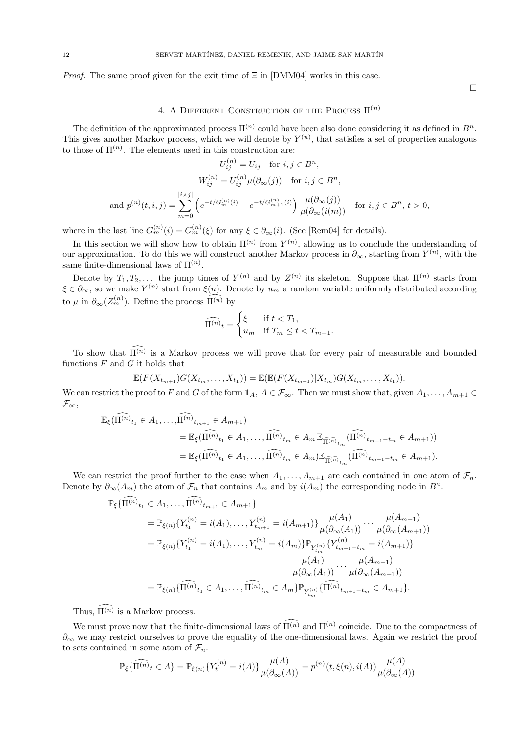*Proof.* The same proof given for the exit time of  $\Xi$  in [DMM04] works in this case.

4. A DIFFERENT CONSTRUCTION OF THE PROCESS  $\Pi^{(n)}$ 

The definition of the approximated process  $\Pi^{(n)}$  could have been also done considering it as defined in  $B^n$ . This gives another Markov process, which we will denote by  $Y^{(n)}$ , that satisfies a set of properties analogous to those of  $\Pi^{(n)}$ . The elements used in this construction are:

$$
U_{ij}^{(n)} = U_{ij} \quad \text{for } i, j \in B^n,
$$
  
\n
$$
W_{ij}^{(n)} = U_{ij}^{(n)} \mu(\partial_{\infty}(j)) \quad \text{for } i, j \in B^n,
$$
  
\nand 
$$
p^{(n)}(t, i, j) = \sum_{m=0}^{|i \lambda j|} \left( e^{-t/G_m^{(n)}(i)} - e^{-t/G_{m+1}^{(n)}(i)} \right) \frac{\mu(\partial_{\infty}(j))}{\mu(\partial_{\infty}(i(m))} \quad \text{for } i, j \in B^n, t > 0,
$$

where in the last line  $G_m^{(n)}(i) = G_m^{(n)}(\xi)$  for any  $\xi \in \partial_\infty(i)$ . (See [Rem04] for details).

In this section we will show how to obtain  $\Pi^{(n)}$  from  $Y^{(n)}$ , allowing us to conclude the understanding of our approximation. To do this we will construct another Markov process in  $\partial_{\infty}$ , starting from  $Y^{(n)}$ , with the same finite-dimensional laws of  $\Pi^{(n)}$ .

Denote by  $T_1, T_2, \ldots$  the jump times of  $Y^{(n)}$  and by  $Z^{(n)}$  its skeleton. Suppose that  $\Pi^{(n)}$  starts from  $\xi \in \partial_{\infty}$ , so we make  $Y^{(n)}$  start from  $\xi(n)$ . Denote by  $u_m$  a random variable uniformly distributed according to  $\mu$  in  $\partial_{\infty}(Z_m^{(n)})$ . Define the process  $\widehat{\Pi^{(n)}}$  by

$$
\widehat{\Pi^{(n)}}_t = \begin{cases} \xi & \text{if } t < T_1, \\ u_m & \text{if } T_m \le t < T_{m+1}. \end{cases}
$$

To show that  $\widehat{\Pi^{(n)}}$  is a Markov process we will prove that for every pair of measurable and bounded functions  $F$  and  $G$  it holds that

$$
\mathbb{E}(F(X_{t_{m+1}})G(X_{t_m},\ldots,X_{t_1}))=\mathbb{E}(\mathbb{E}(F(X_{t_{m+1}})|X_{t_m})G(X_{t_m},\ldots,X_{t_1})).
$$

We can restrict the proof to F and G of the form  $1_A$ ,  $A \in \mathcal{F}_{\infty}$ . Then we must show that, given  $A_1, \ldots, A_{m+1} \in$  $\mathcal{F}_{\infty},$ 

$$
\mathbb{E}_{\xi}(\widehat{\Pi^{(n)}}_{t_1} \in A_1, \dots, \widehat{\Pi^{(n)}}_{t_{m+1}} \in A_{m+1})
$$
\n
$$
= \mathbb{E}_{\xi}(\widehat{\Pi^{(n)}}_{t_1} \in A_1, \dots, \widehat{\Pi^{(n)}}_{t_m} \in A_m \mathbb{E}_{\widehat{\Pi^{(n)}}_{t_m}}(\widehat{\Pi^{(n)}}_{t_{m+1}-t_m} \in A_{m+1}))
$$
\n
$$
= \mathbb{E}_{\xi}(\widehat{\Pi^{(n)}}_{t_1} \in A_1, \dots, \widehat{\Pi^{(n)}}_{t_m} \in A_m) \mathbb{E}_{\widehat{\Pi^{(n)}}_{t_m}}(\widehat{\Pi^{(n)}}_{t_{m+1}-t_m} \in A_{m+1}).
$$

We can restrict the proof further to the case when  $A_1, \ldots, A_{m+1}$  are each contained in one atom of  $\mathcal{F}_n$ . Denote by  $\partial_{\infty}(A_m)$  the atom of  $\mathcal{F}_n$  that contains  $A_m$  and by  $i(A_m)$  the corresponding node in  $B^n$ .

$$
\mathbb{P}_{\xi}\{\widehat{\Pi^{(n)}}_{t_1} \in A_1, \dots, \widehat{\Pi^{(n)}}_{t_{m+1}} \in A_{m+1}\}\n= \mathbb{P}_{\xi(n)}\{Y_{t_1}^{(n)} = i(A_1), \dots, Y_{t_{m+1}}^{(n)} = i(A_{m+1})\} \frac{\mu(A_1)}{\mu(\partial_{\infty}(A_1))} \cdots \frac{\mu(A_{m+1})}{\mu(\partial_{\infty}(A_{m+1}))}\n= \mathbb{P}_{\xi(n)}\{Y_{t_1}^{(n)} = i(A_1), \dots, Y_{t_m}^{(n)} = i(A_m)\} \mathbb{P}_{Y_{t_m}^{(n)}}\{Y_{t_{m+1}^{(n)}}^{(n)} = i(A_{m+1})\}\n= \mathbb{P}_{\xi(n)}\{\widehat{\Pi^{(n)}}_{t_1} \in A_1, \dots, \widehat{\Pi^{(n)}}_{t_m} \in A_m\} \mathbb{P}_{Y_{t_m}^{(n)}}\{\widehat{\Pi^{(n)}}_{t_{m+1} - t_m} \in A_{m+1}\}.
$$

Thus,  $\widehat{\Pi^{(n)}}$  is a Markov process.

We must prove now that the finite-dimensional laws of  $\widehat{\Pi^{(n)}}$  and  $\Pi^{(n)}$  coincide. Due to the compactness of  $\partial_{\infty}$  we may restrict ourselves to prove the equality of the one-dimensional laws. Again we restrict the proof to sets contained in some atom of  $\mathcal{F}_n$ .

$$
\mathbb{P}_{\xi}\{\widehat{\Pi^{(n)}}_t \in A\} = \mathbb{P}_{\xi(n)}\{Y_t^{(n)} = i(A)\}\frac{\mu(A)}{\mu(\partial_{\infty}(A))} = p^{(n)}(t,\xi(n),i(A))\frac{\mu(A)}{\mu(\partial_{\infty}(A))}
$$

 $\Box$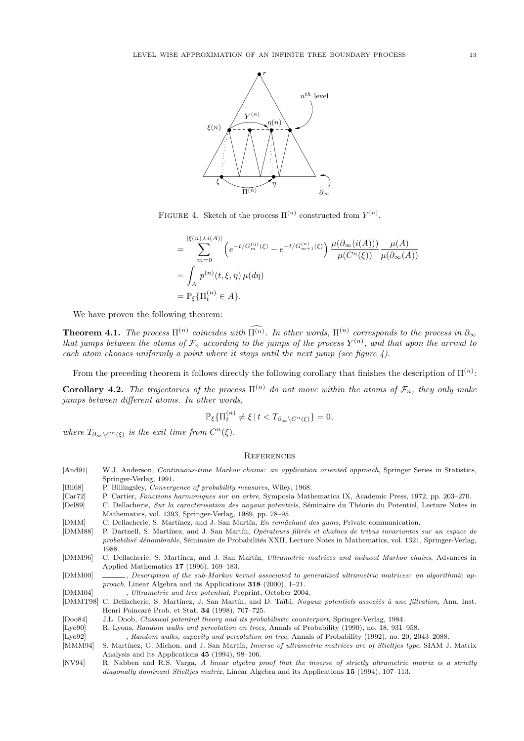

FIGURE 4. Sketch of the process  $\Pi^{(n)}$  constructed from  $Y^{(n)}$ .

$$
= \sum_{m=0}^{|\xi(n)\lambda i(A)|} \left( e^{-t/G_m^{(n)}(\xi)} - e^{-t/G_{m+1}^{(n)}(\xi)} \right) \frac{\mu(\partial_\infty(i(A)))}{\mu(C^n(\xi))} \frac{\mu(A)}{\mu(\partial_\infty(A))}
$$
  
= 
$$
\int_A p^{(n)}(t,\xi,\eta) \mu(d\eta)
$$
  
= 
$$
\mathbb{P}_{\xi} \{ \Pi_t^{(n)} \in A \}.
$$

We have proven the following theorem:

**Theorem 4.1.** The process  $\Pi^{(n)}$  coincides with  $\widehat{\Pi^{(n)}}$ . In other words,  $\Pi^{(n)}$  corresponds to the process in  $\partial_{\infty}$ that jumps between the atoms of  $\mathcal{F}_n$  according to the jumps of the process  $Y^{(n)}$ , and that upon the arrival to each atom chooses uniformly a point where it stays until the next jump (see figure  $4$ ).

From the preceding theorem it follows directly the following corollary that finishes the description of  $\Pi^{(n)}$ :

**Corollary 4.2.** The trajectories of the process  $\Pi^{(n)}$  do not move within the atoms of  $\mathcal{F}_n$ , they only make jumps between different atoms. In other words,

$$
\mathbb{P}_{\xi}\{\Pi_t^{(n)} \neq \xi \mid t < T_{\partial_{\infty} \setminus C^n(\xi)}\} = 0,
$$

where  $T_{\partial_{\infty}\setminus C^{n}(\xi)}$  is the exit time from  $C^{n}(\xi)$ .

#### **REFERENCES**

| [And91] | W.J. Anderson, <i>Continuous-time Markov chains: an application oriented approach</i> , Springer Series in Statistics,     |
|---------|----------------------------------------------------------------------------------------------------------------------------|
|         | Springer-Verlag, 1991.                                                                                                     |
| [Bil68] | P. Billingsley, <i>Convergence of probability measures</i> , Wiley, 1968.                                                  |
| Car72   | P. Cartier, Fonctions harmoniques sur un arbre, Symposia Mathematica IX, Academic Press, 1972, pp. 203–270.                |
| [Del89] | C. Dellacherie, Sur la caracterisation des noyaux potentiels, Séminaire du Théorie du Potentiel, Lecture Notes in          |
|         | Mathematics, vol. 1393, Springer-Verlag, 1989, pp. 78–95.                                                                  |
| [DMM]   | C. Dellacherie, S. Martínez, and J. San Martín, En remâchant des gums, Private communication.                              |
| [DMM88] | P. Dartnell, S. Martínez, and J. San Martín, Opérateurs filtrés et chaînes de tribus invariantes sur un espace de          |
|         | <i>probabilisé dénombrable</i> , Séminaire de Probabilités XXII, Lecture Notes in Mathematics, vol. 1321, Springer-Verlag, |
|         | 1988.                                                                                                                      |
| [DMM96] | C. Dellacherie, S. Martínez, and J. San Martín, Ultrametric matrices and induced Markov chains, Advances in                |
|         | Applied Mathematics 17 (1996), 169–183.                                                                                    |
| [DMM00] | . Description of the sub-Markov kernel associated to generalized ultrametric matrices: an algorithmic ap-                  |
|         | <i>proach</i> , Linear Algebra and its Applications $318$ (2000), 1-21.                                                    |
| DMM04   | Ultrametric and tree potential, Preprint, October 2004.                                                                    |
|         | [DMMT98] C. Dellacherie, S. Martínez, J. San Martín, and D. Taïbi, Noyaux potentiels associés à une filtration, Ann. Inst. |
|         | Henri Poincaré Prob. et Stat. 34 (1998), 707–725.                                                                          |
| [Doo84] | J.L. Doob, <i>Classical potential theory and its probabilistic counterpart</i> , Springer-Verlag, 1984.                    |
| [Ly090] | R. Lyons, Random walks and percolation on trees, Annals of Probability (1990), no. 18, 931–958.                            |
| Lyo92   | , Random walks, capacity and percolation on tree, Annals of Probability (1992), no. 20, 2043–2088.                         |
| [MMM94] | S. Martínez, G. Michon, and J. San Martín, <i>Inverse of ultrametric matrices are of Stieltjes type</i> , SIAM J. Matrix   |
|         | Analysis and its Applications 45 (1994), 98–106.                                                                           |

[NV94] R. Nabben and R.S. Varga, A linear algebra proof that the inverse of strictly ultrametric matrix is a strictly diagonally dominant Stieltjes matrix, Linear Algebra and its Applications 15 (1994), 107-113.